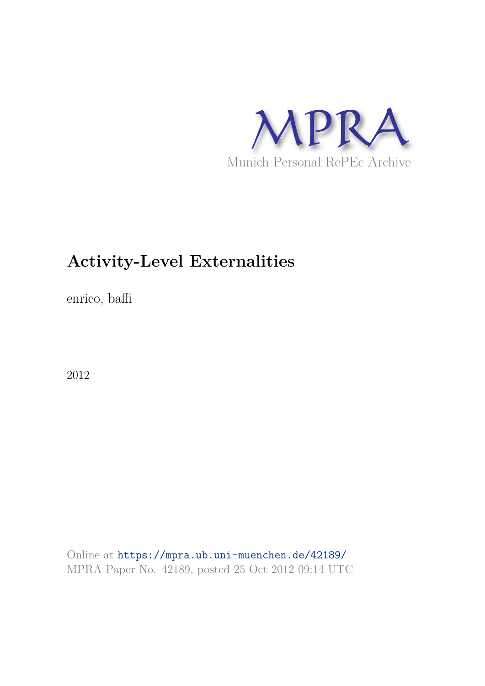

# **Activity-Level Externalities**

enrico, baffi

2012

Online at https://mpra.ub.uni-muenchen.de/42189/ MPRA Paper No. 42189, posted 25 Oct 2012 09:14 UTC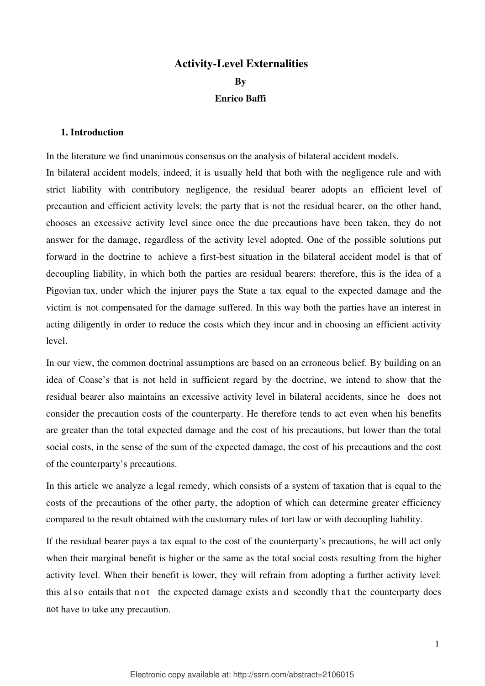# **Activity-Level Externalities By Enrico Baffi**

## **1. Introduction**

In the literature we find unanimous consensus on the analysis of bilateral accident models. In bilateral accident models, indeed, it is usually held that both with the negligence rule and with strict liability with contributory negligence, the residual bearer adopts an efficient level of precaution and efficient activity levels; the party that is not the residual bearer, on the other hand, chooses an excessive activity level since once the due precautions have been taken, they do not answer for the damage, regardless of the activity level adopted. One of the possible solutions put forward in the doctrine to achieve a first-best situation in the bilateral accident model is that of decoupling liability, in which both the parties are residual bearers: therefore, this is the idea of a Pigovian tax, under which the injurer pays the State a tax equal to the expected damage and the victim is not compensated for the damage suffered. In this way both the parties have an interest in acting diligently in order to reduce the costs which they incur and in choosing an efficient activity level.

In our view, the common doctrinal assumptions are based on an erroneous belief. By building on an idea of Coase's that is not held in sufficient regard by the doctrine, we intend to show that the residual bearer also maintains an excessive activity level in bilateral accidents, since he does not consider the precaution costs of the counterparty. He therefore tends to act even when his benefits are greater than the total expected damage and the cost of his precautions, but lower than the total social costs, in the sense of the sum of the expected damage, the cost of his precautions and the cost of the counterparty's precautions.

In this article we analyze a legal remedy, which consists of a system of taxation that is equal to the costs of the precautions of the other party, the adoption of which can determine greater efficiency compared to the result obtained with the customary rules of tort law or with decoupling liability.

If the residual bearer pays a tax equal to the cost of the counterparty's precautions, he will act only when their marginal benefit is higher or the same as the total social costs resulting from the higher activity level. When their benefit is lower, they will refrain from adopting a further activity level: this also entails that not the expected damage exists and secondly that the counterparty does not have to take any precaution.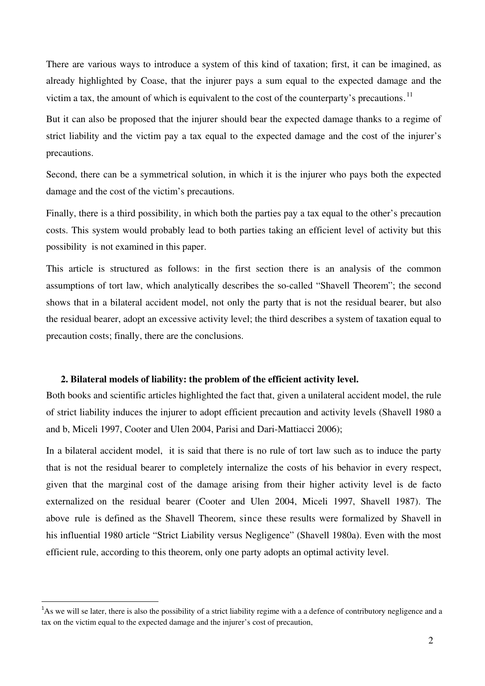There are various ways to introduce a system of this kind of taxation; first, it can be imagined, as already highlighted by Coase, that the injurer pays a sum equal to the expected damage and the victim a tax, the amount of which is equivalent to the cost of the counterparty's precautions.<sup>[11](#page-2-0)</sup>

But it can also be proposed that the injurer should bear the expected damage thanks to a regime of strict liability and the victim pay a tax equal to the expected damage and the cost of the injurer's precautions.

Second, there can be a symmetrical solution, in which it is the injurer who pays both the expected damage and the cost of the victim's precautions.

Finally, there is a third possibility, in which both the parties pay a tax equal to the other's precaution costs. This system would probably lead to both parties taking an efficient level of activity but this possibility is not examined in this paper.

This article is structured as follows: in the first section there is an analysis of the common assumptions of tort law, which analytically describes the so-called "Shavell Theorem"; the second shows that in a bilateral accident model, not only the party that is not the residual bearer, but also the residual bearer, adopt an excessive activity level; the third describes a system of taxation equal to precaution costs; finally, there are the conclusions.

#### **2. Bilateral models of liability: the problem of the efficient activity level.**

Both books and scientific articles highlighted the fact that, given a unilateral accident model, the rule of strict liability induces the injurer to adopt efficient precaution and activity levels (Shavell 1980 a and b, Miceli 1997, Cooter and Ulen 2004, Parisi and Dari-Mattiacci 2006);

In a bilateral accident model, it is said that there is no rule of tort law such as to induce the party that is not the residual bearer to completely internalize the costs of his behavior in every respect, given that the marginal cost of the damage arising from their higher activity level is de facto externalized on the residual bearer (Cooter and Ulen 2004, Miceli 1997, Shavell 1987). The above rule is defined as the Shavell Theorem, since these results were formalized by Shavell in his influential 1980 article "Strict Liability versus Negligence" (Shavell 1980a). Even with the most efficient rule, according to this theorem, only one party adopts an optimal activity level.

 $\overline{a}$ 

<span id="page-2-0"></span><sup>&</sup>lt;sup>1</sup>As we will se later, there is also the possibility of a strict liability regime with a a defence of contributory negligence and a tax on the victim equal to the expected damage and the injurer's cost of precaution,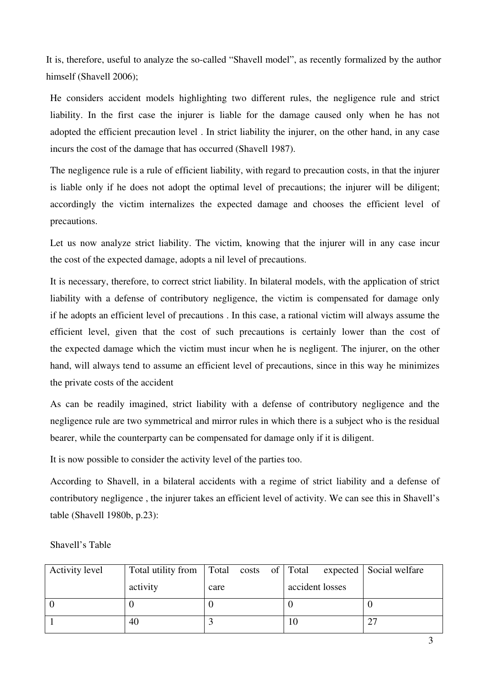It is, therefore, useful to analyze the so-called "Shavell model", as recently formalized by the author himself (Shavell 2006);

He considers accident models highlighting two different rules, the negligence rule and strict liability. In the first case the injurer is liable for the damage caused only when he has not adopted the efficient precaution level . In strict liability the injurer, on the other hand, in any case incurs the cost of the damage that has occurred (Shavell 1987).

The negligence rule is a rule of efficient liability, with regard to precaution costs, in that the injurer is liable only if he does not adopt the optimal level of precautions; the injurer will be diligent; accordingly the victim internalizes the expected damage and chooses the efficient level of precautions.

Let us now analyze strict liability. The victim, knowing that the injurer will in any case incur the cost of the expected damage, adopts a nil level of precautions.

It is necessary, therefore, to correct strict liability. In bilateral models, with the application of strict liability with a defense of contributory negligence, the victim is compensated for damage only if he adopts an efficient level of precautions . In this case, a rational victim will always assume the efficient level, given that the cost of such precautions is certainly lower than the cost of the expected damage which the victim must incur when he is negligent. The injurer, on the other hand, will always tend to assume an efficient level of precautions, since in this way he minimizes the private costs of the accident

As can be readily imagined, strict liability with a defense of contributory negligence and the negligence rule are two symmetrical and mirror rules in which there is a subject who is the residual bearer, while the counterparty can be compensated for damage only if it is diligent.

It is now possible to consider the activity level of the parties too.

According to Shavell, in a bilateral accidents with a regime of strict liability and a defense of contributory negligence , the injurer takes an efficient level of activity. We can see this in Shavell's table (Shavell 1980b, p.23):

| <b>Activity level</b> |          | Total utility from Total costs of Total |                 | expected   Social welfare |
|-----------------------|----------|-----------------------------------------|-----------------|---------------------------|
|                       | activity | care                                    | accident losses |                           |
|                       |          |                                         |                 |                           |
|                       | 40       |                                         | 10              | 27                        |

Shavell's Table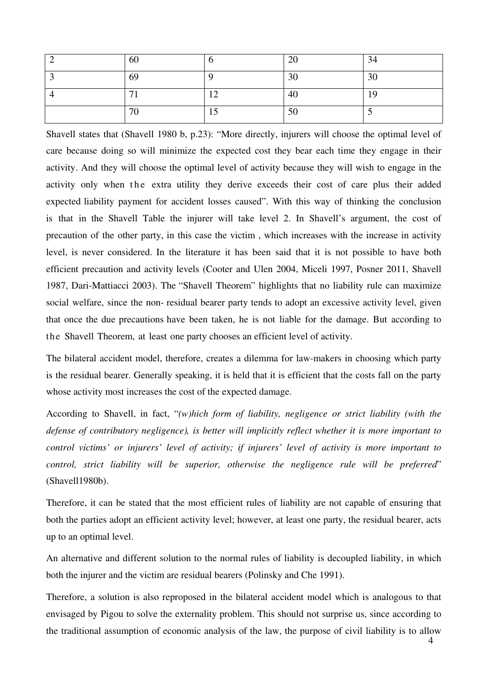| 60 |   | $\Delta$<br>$\overline{\phantom{0}}$ | 34 |
|----|---|--------------------------------------|----|
| 69 |   | $\overline{c}$<br>3U                 | 30 |
| −  |   | -40                                  |    |
| 70 | ∸ | $\epsilon$<br><b>JU</b>              |    |

Shavell states that (Shavell 1980 b, p.23): "More directly, injurers will choose the optimal level of care because doing so will minimize the expected cost they bear each time they engage in their activity. And they will choose the optimal level of activity because they will wish to engage in the activity only when the extra utility they derive exceeds their cost of care plus their added expected liability payment for accident losses caused". With this way of thinking the conclusion is that in the Shavell Table the injurer will take level 2. In Shavell's argument, the cost of precaution of the other party, in this case the victim , which increases with the increase in activity level, is never considered. In the literature it has been said that it is not possible to have both efficient precaution and activity levels (Cooter and Ulen 2004, Miceli 1997, Posner 2011, Shavell 1987, Dari-Mattiacci 2003). The "Shavell Theorem" highlights that no liability rule can maximize social welfare, since the non- residual bearer party tends to adopt an excessive activity level, given that once the due precautions have been taken, he is not liable for the damage. But according to the Shavell Theorem, at least one party chooses an efficient level of activity.

The bilateral accident model, therefore, creates a dilemma for law-makers in choosing which party is the residual bearer. Generally speaking, it is held that it is efficient that the costs fall on the party whose activity most increases the cost of the expected damage.

According to Shavell, in fact, "*(w)hich form of liability, negligence or strict liability (with the defense of contributory negligence), is better will implicitly reflect whether it is more important to control victims' or injurers' level of activity; if injurers' level of activity is more important to control, strict liability will be superior, otherwise the negligence rule will be preferred*" (Shavell1980b).

Therefore, it can be stated that the most efficient rules of liability are not capable of ensuring that both the parties adopt an efficient activity level; however, at least one party, the residual bearer, acts up to an optimal level.

An alternative and different solution to the normal rules of liability is decoupled liability, in which both the injurer and the victim are residual bearers (Polinsky and Che 1991).

Therefore, a solution is also reproposed in the bilateral accident model which is analogous to that envisaged by Pigou to solve the externality problem. This should not surprise us, since according to the traditional assumption of economic analysis of the law, the purpose of civil liability is to allow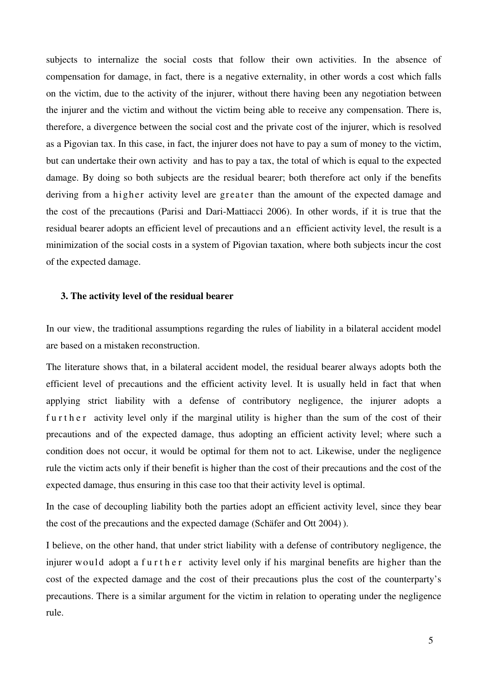subjects to internalize the social costs that follow their own activities. In the absence of compensation for damage, in fact, there is a negative externality, in other words a cost which falls on the victim, due to the activity of the injurer, without there having been any negotiation between the injurer and the victim and without the victim being able to receive any compensation. There is, therefore, a divergence between the social cost and the private cost of the injurer, which is resolved as a Pigovian tax. In this case, in fact, the injurer does not have to pay a sum of money to the victim, but can undertake their own activity and has to pay a tax, the total of which is equal to the expected damage. By doing so both subjects are the residual bearer; both therefore act only if the benefits deriving from a higher activity level are greater than the amount of the expected damage and the cost of the precautions (Parisi and Dari-Mattiacci 2006). In other words, if it is true that the residual bearer adopts an efficient level of precautions and an efficient activity level, the result is a minimization of the social costs in a system of Pigovian taxation, where both subjects incur the cost of the expected damage.

#### **3. The activity level of the residual bearer**

In our view, the traditional assumptions regarding the rules of liability in a bilateral accident model are based on a mistaken reconstruction.

The literature shows that, in a bilateral accident model, the residual bearer always adopts both the efficient level of precautions and the efficient activity level. It is usually held in fact that when applying strict liability with a defense of contributory negligence, the injurer adopts a further activity level only if the marginal utility is higher than the sum of the cost of their precautions and of the expected damage, thus adopting an efficient activity level; where such a condition does not occur, it would be optimal for them not to act. Likewise, under the negligence rule the victim acts only if their benefit is higher than the cost of their precautions and the cost of the expected damage, thus ensuring in this case too that their activity level is optimal.

In the case of decoupling liability both the parties adopt an efficient activity level, since they bear the cost of the precautions and the expected damage (Schäfer and Ott 2004) ).

I believe, on the other hand, that under strict liability with a defense of contributory negligence, the injurer would adopt a further activity level only if his marginal benefits are higher than the cost of the expected damage and the cost of their precautions plus the cost of the counterparty's precautions. There is a similar argument for the victim in relation to operating under the negligence rule.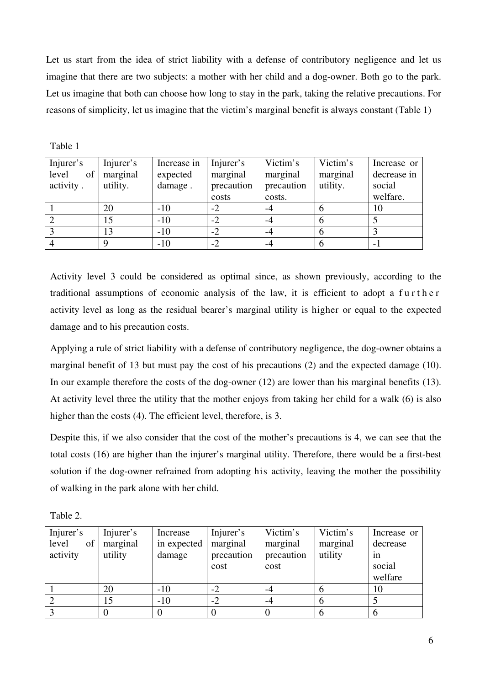Let us start from the idea of strict liability with a defense of contributory negligence and let us imagine that there are two subjects: a mother with her child and a dog-owner. Both go to the park. Let us imagine that both can choose how long to stay in the park, taking the relative precautions. For reasons of simplicity, let us imagine that the victim's marginal benefit is always constant (Table 1)

| Injurer's<br>level<br>of<br>activity. | Injurer's<br>marginal<br>utility. | Increase in<br>expected<br>damage. | Injurer's<br>marginal<br>precaution | Victim's<br>marginal<br>precaution | Victim's<br>marginal<br>utility. | Increase or<br>decrease in<br>social |
|---------------------------------------|-----------------------------------|------------------------------------|-------------------------------------|------------------------------------|----------------------------------|--------------------------------------|
|                                       |                                   |                                    | costs                               | costs.                             |                                  | welfare.                             |
|                                       | 20                                | $-10$                              | $-2$                                | -4                                 | <sub>0</sub>                     | 10                                   |
|                                       | 15                                | $-10$                              | $-2$                                | -4                                 | 6                                |                                      |
|                                       | 13                                | $-10$                              | $-2$                                | $-4$                               | 6                                |                                      |
|                                       |                                   | $-10$                              | $-2$                                | -4                                 | 6                                |                                      |

Table 1

Activity level 3 could be considered as optimal since, as shown previously, according to the traditional assumptions of economic analysis of the law, it is efficient to adopt a further activity level as long as the residual bearer's marginal utility is higher or equal to the expected damage and to his precaution costs.

Applying a rule of strict liability with a defense of contributory negligence, the dog-owner obtains a marginal benefit of 13 but must pay the cost of his precautions (2) and the expected damage (10). In our example therefore the costs of the dog-owner (12) are lower than his marginal benefits (13). At activity level three the utility that the mother enjoys from taking her child for a walk (6) is also higher than the costs (4). The efficient level, therefore, is 3.

Despite this, if we also consider that the cost of the mother's precautions is 4, we can see that the total costs (16) are higher than the injurer's marginal utility. Therefore, there would be a first-best solution if the dog-owner refrained from adopting his activity, leaving the mother the possibility of walking in the park alone with her child.

| abie |  |
|------|--|
|------|--|

| Injurer's   | Injurer's | Increase    | Injurer's  | Victim's   | Victim's | Increase or |
|-------------|-----------|-------------|------------|------------|----------|-------------|
| of<br>level | marginal  | in expected | marginal   | marginal   | marginal | decrease    |
| activity    | utility   | damage      | precaution | precaution | utility  | 1n          |
|             |           |             | cost       | cost       |          | social      |
|             |           |             |            |            |          | welfare     |
|             | 20        | $-10$       |            |            |          | 10          |
|             | 15        | $-10$       | $-2$       | $-4$       | O        |             |
|             |           |             |            |            |          |             |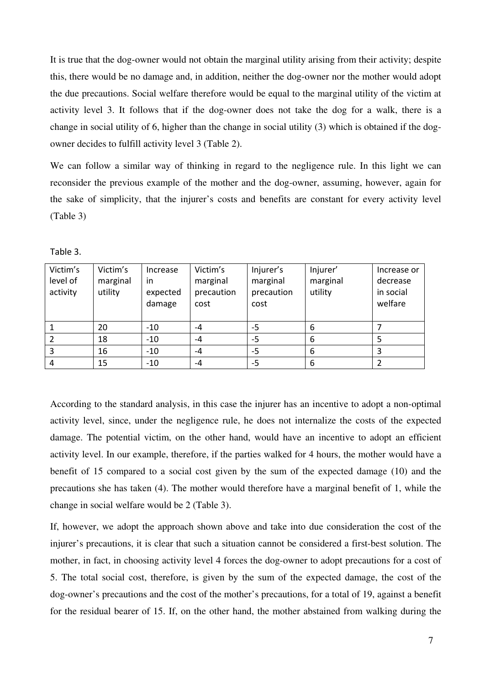It is true that the dog-owner would not obtain the marginal utility arising from their activity; despite this, there would be no damage and, in addition, neither the dog-owner nor the mother would adopt the due precautions. Social welfare therefore would be equal to the marginal utility of the victim at activity level 3. It follows that if the dog-owner does not take the dog for a walk, there is a change in social utility of 6, higher than the change in social utility (3) which is obtained if the dogowner decides to fulfill activity level 3 (Table 2).

We can follow a similar way of thinking in regard to the negligence rule. In this light we can reconsider the previous example of the mother and the dog-owner, assuming, however, again for the sake of simplicity, that the injurer's costs and benefits are constant for every activity level (Table 3)

| Victim's | Victim's | Increase | Victim's   | Injurer's  | Injurer' | Increase or |
|----------|----------|----------|------------|------------|----------|-------------|
| level of | marginal | in       | marginal   | marginal   | marginal | decrease    |
| activity | utility  | expected | precaution | precaution | utility  | in social   |
|          |          | damage   | cost       | cost       |          | welfare     |
|          |          |          |            |            |          |             |
|          | 20       | $-10$    | $-4$       | -5         | 6        |             |
|          | 18       | $-10$    | $-4$       | -5         | 6        |             |
| 3        | 16       | $-10$    | $-4$       | -5         | 6        |             |
| 4        | 15       | $-10$    | $-4$       | -5         | 6        |             |

Table 3.

According to the standard analysis, in this case the injurer has an incentive to adopt a non-optimal activity level, since, under the negligence rule, he does not internalize the costs of the expected damage. The potential victim, on the other hand, would have an incentive to adopt an efficient activity level. In our example, therefore, if the parties walked for 4 hours, the mother would have a benefit of 15 compared to a social cost given by the sum of the expected damage (10) and the precautions she has taken (4). The mother would therefore have a marginal benefit of 1, while the change in social welfare would be 2 (Table 3).

If, however, we adopt the approach shown above and take into due consideration the cost of the injurer's precautions, it is clear that such a situation cannot be considered a first-best solution. The mother, in fact, in choosing activity level 4 forces the dog-owner to adopt precautions for a cost of 5. The total social cost, therefore, is given by the sum of the expected damage, the cost of the dog-owner's precautions and the cost of the mother's precautions, for a total of 19, against a benefit for the residual bearer of 15. If, on the other hand, the mother abstained from walking during the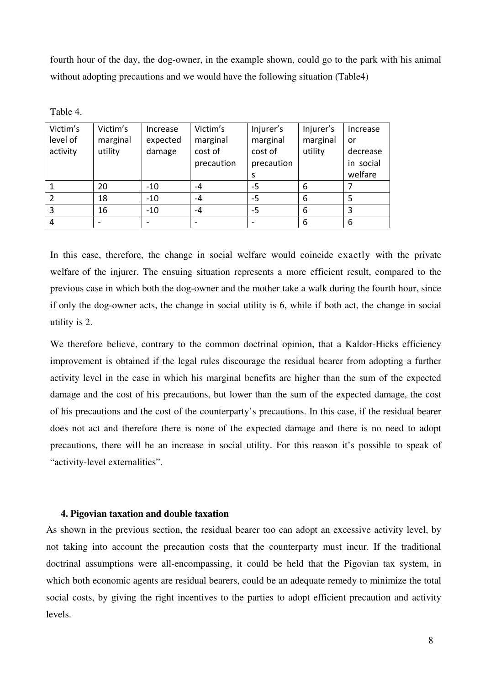fourth hour of the day, the dog-owner, in the example shown, could go to the park with his animal without adopting precautions and we would have the following situation (Table4)

| Table |  |
|-------|--|
|-------|--|

| Victim's | Victim's | Increase | Victim's                 | Injurer's  | Injurer's | Increase  |
|----------|----------|----------|--------------------------|------------|-----------|-----------|
| level of | marginal | expected | marginal                 | marginal   | marginal  | or        |
| activity | utility  | damage   | cost of                  | cost of    | utility   | decrease  |
|          |          |          | precaution               | precaution |           | in social |
|          |          |          |                          | s          |           | welfare   |
|          | 20       | $-10$    | -4                       | -5         | 6         |           |
|          | 18       | $-10$    | $-4$                     | -5         | 6         | 5         |
| 3        | 16       | $-10$    | $-4$                     | -5         | 6         | 3         |
|          | -        |          | $\overline{\phantom{a}}$ |            | 6         | 6         |

In this case, therefore, the change in social welfare would coincide exactly with the private welfare of the injurer. The ensuing situation represents a more efficient result, compared to the previous case in which both the dog-owner and the mother take a walk during the fourth hour, since if only the dog-owner acts, the change in social utility is 6, while if both act, the change in social utility is 2.

We therefore believe, contrary to the common doctrinal opinion, that a Kaldor-Hicks efficiency improvement is obtained if the legal rules discourage the residual bearer from adopting a further activity level in the case in which his marginal benefits are higher than the sum of the expected damage and the cost of his precautions, but lower than the sum of the expected damage, the cost of his precautions and the cost of the counterparty's precautions. In this case, if the residual bearer does not act and therefore there is none of the expected damage and there is no need to adopt precautions, there will be an increase in social utility. For this reason it's possible to speak of "activity-level externalities".

# **4. Pigovian taxation and double taxation**

As shown in the previous section, the residual bearer too can adopt an excessive activity level, by not taking into account the precaution costs that the counterparty must incur. If the traditional doctrinal assumptions were all-encompassing, it could be held that the Pigovian tax system, in which both economic agents are residual bearers, could be an adequate remedy to minimize the total social costs, by giving the right incentives to the parties to adopt efficient precaution and activity levels.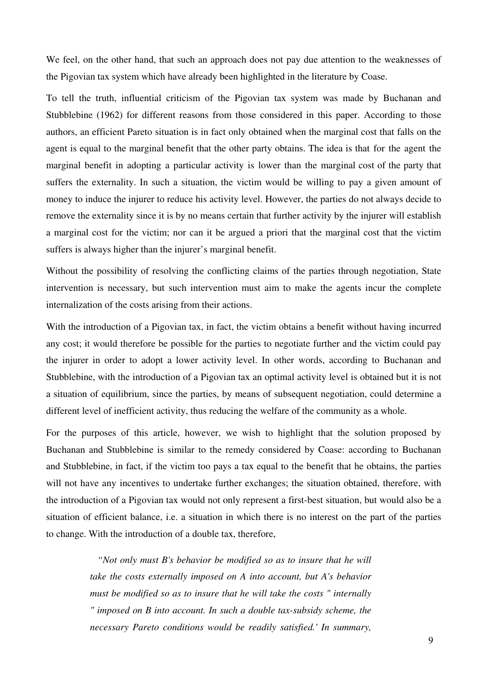We feel, on the other hand, that such an approach does not pay due attention to the weaknesses of the Pigovian tax system which have already been highlighted in the literature by Coase.

To tell the truth, influential criticism of the Pigovian tax system was made by Buchanan and Stubblebine (1962) for different reasons from those considered in this paper. According to those authors, an efficient Pareto situation is in fact only obtained when the marginal cost that falls on the agent is equal to the marginal benefit that the other party obtains. The idea is that for the agent the marginal benefit in adopting a particular activity is lower than the marginal cost of the party that suffers the externality. In such a situation, the victim would be willing to pay a given amount of money to induce the injurer to reduce his activity level. However, the parties do not always decide to remove the externality since it is by no means certain that further activity by the injurer will establish a marginal cost for the victim; nor can it be argued a priori that the marginal cost that the victim suffers is always higher than the injurer's marginal benefit.

Without the possibility of resolving the conflicting claims of the parties through negotiation, State intervention is necessary, but such intervention must aim to make the agents incur the complete internalization of the costs arising from their actions.

With the introduction of a Pigovian tax, in fact, the victim obtains a benefit without having incurred any cost; it would therefore be possible for the parties to negotiate further and the victim could pay the injurer in order to adopt a lower activity level. In other words, according to Buchanan and Stubblebine, with the introduction of a Pigovian tax an optimal activity level is obtained but it is not a situation of equilibrium, since the parties, by means of subsequent negotiation, could determine a different level of inefficient activity, thus reducing the welfare of the community as a whole.

For the purposes of this article, however, we wish to highlight that the solution proposed by Buchanan and Stubblebine is similar to the remedy considered by Coase: according to Buchanan and Stubblebine, in fact, if the victim too pays a tax equal to the benefit that he obtains, the parties will not have any incentives to undertake further exchanges; the situation obtained, therefore, with the introduction of a Pigovian tax would not only represent a first-best situation, but would also be a situation of efficient balance, i.e. a situation in which there is no interest on the part of the parties to change. With the introduction of a double tax, therefore,

> *"Not only must B's behavior be modified so as to insure that he will take the costs externally imposed on A into account, but A's behavior must be modified so as to insure that he will take the costs " internally " imposed on B into account. In such a double tax-subsidy scheme, the necessary Pareto conditions would be readily satisfied.' In summary,*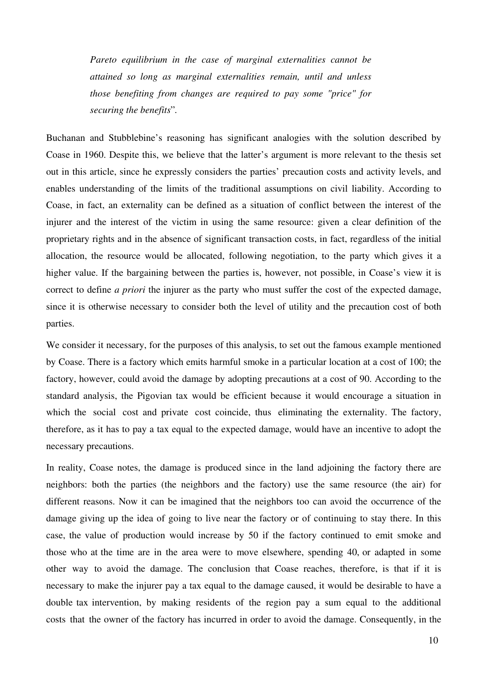*Pareto equilibrium in the case of marginal externalities cannot be attained so long as marginal externalities remain, until and unless those benefiting from changes are required to pay some "price" for securing the benefits*"*.*

Buchanan and Stubblebine's reasoning has significant analogies with the solution described by Coase in 1960. Despite this, we believe that the latter's argument is more relevant to the thesis set out in this article, since he expressly considers the parties' precaution costs and activity levels, and enables understanding of the limits of the traditional assumptions on civil liability. According to Coase, in fact, an externality can be defined as a situation of conflict between the interest of the injurer and the interest of the victim in using the same resource: given a clear definition of the proprietary rights and in the absence of significant transaction costs, in fact, regardless of the initial allocation, the resource would be allocated, following negotiation, to the party which gives it a higher value. If the bargaining between the parties is, however, not possible, in Coase's view it is correct to define *a priori* the injurer as the party who must suffer the cost of the expected damage, since it is otherwise necessary to consider both the level of utility and the precaution cost of both parties.

We consider it necessary, for the purposes of this analysis, to set out the famous example mentioned by Coase. There is a factory which emits harmful smoke in a particular location at a cost of 100; the factory, however, could avoid the damage by adopting precautions at a cost of 90. According to the standard analysis, the Pigovian tax would be efficient because it would encourage a situation in which the social cost and private cost coincide, thus eliminating the externality. The factory, therefore, as it has to pay a tax equal to the expected damage, would have an incentive to adopt the necessary precautions.

In reality, Coase notes, the damage is produced since in the land adjoining the factory there are neighbors: both the parties (the neighbors and the factory) use the same resource (the air) for different reasons. Now it can be imagined that the neighbors too can avoid the occurrence of the damage giving up the idea of going to live near the factory or of continuing to stay there. In this case, the value of production would increase by 50 if the factory continued to emit smoke and those who at the time are in the area were to move elsewhere, spending 40, or adapted in some other way to avoid the damage. The conclusion that Coase reaches, therefore, is that if it is necessary to make the injurer pay a tax equal to the damage caused, it would be desirable to have a double tax intervention, by making residents of the region pay a sum equal to the additional costs that the owner of the factory has incurred in order to avoid the damage. Consequently, in the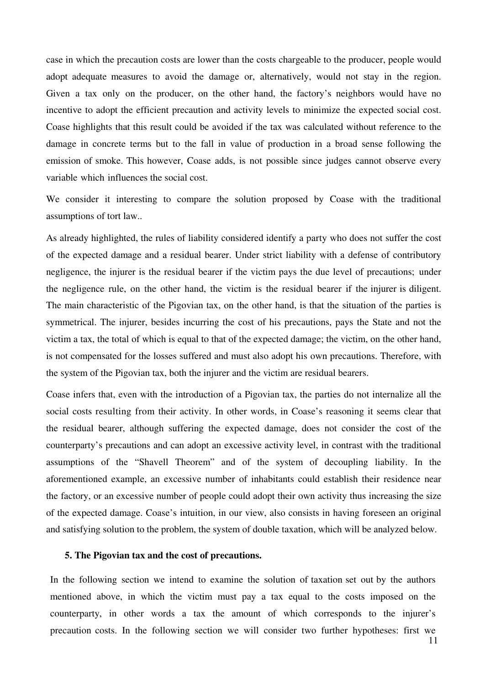case in which the precaution costs are lower than the costs chargeable to the producer, people would adopt adequate measures to avoid the damage or, alternatively, would not stay in the region. Given a tax only on the producer, on the other hand, the factory's neighbors would have no incentive to adopt the efficient precaution and activity levels to minimize the expected social cost. Coase highlights that this result could be avoided if the tax was calculated without reference to the damage in concrete terms but to the fall in value of production in a broad sense following the emission of smoke. This however, Coase adds, is not possible since judges cannot observe every variable which influences the social cost.

We consider it interesting to compare the solution proposed by Coase with the traditional assumptions of tort law..

As already highlighted, the rules of liability considered identify a party who does not suffer the cost of the expected damage and a residual bearer. Under strict liability with a defense of contributory negligence, the injurer is the residual bearer if the victim pays the due level of precautions; under the negligence rule, on the other hand, the victim is the residual bearer if the injurer is diligent. The main characteristic of the Pigovian tax, on the other hand, is that the situation of the parties is symmetrical. The injurer, besides incurring the cost of his precautions, pays the State and not the victim a tax, the total of which is equal to that of the expected damage; the victim, on the other hand, is not compensated for the losses suffered and must also adopt his own precautions. Therefore, with the system of the Pigovian tax, both the injurer and the victim are residual bearers.

Coase infers that, even with the introduction of a Pigovian tax, the parties do not internalize all the social costs resulting from their activity. In other words, in Coase's reasoning it seems clear that the residual bearer, although suffering the expected damage, does not consider the cost of the counterparty's precautions and can adopt an excessive activity level, in contrast with the traditional assumptions of the "Shavell Theorem" and of the system of decoupling liability. In the aforementioned example, an excessive number of inhabitants could establish their residence near the factory, or an excessive number of people could adopt their own activity thus increasing the size of the expected damage. Coase's intuition, in our view, also consists in having foreseen an original and satisfying solution to the problem, the system of double taxation, which will be analyzed below.

#### **5. The Pigovian tax and the cost of precautions.**

In the following section we intend to examine the solution of taxation set out by the authors mentioned above, in which the victim must pay a tax equal to the costs imposed on the counterparty, in other words a tax the amount of which corresponds to the injurer's precaution costs. In the following section we will consider two further hypotheses: first we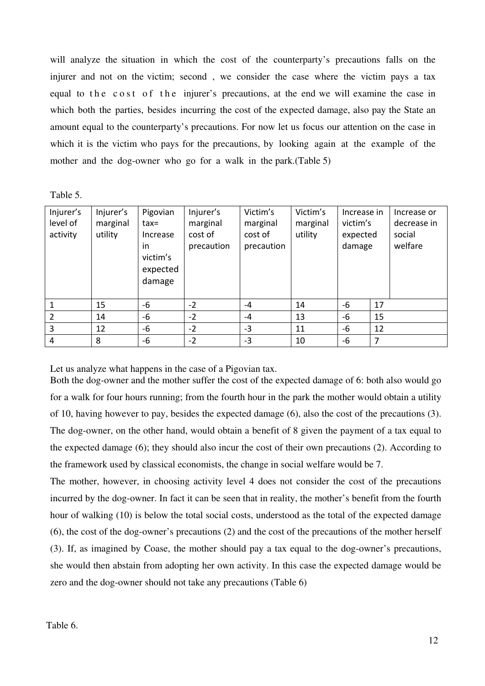will analyze the situation in which the cost of the counterparty's precautions falls on the injurer and not on the victim; second , we consider the case where the victim pays a tax equal to the cost of the injurer's precautions, at the end we will examine the case in which both the parties, besides incurring the cost of the expected damage, also pay the State an amount equal to the counterparty's precautions. For now let us focus our attention on the case in which it is the victim who pays for the precautions, by looking again at the example of the mother and the dog-owner who go for a walk in the park.(Table 5)

Table 5.

| Injurer's<br>level of<br>activity | Injurer's<br>marginal<br>utility | Pigovian<br>$tax=$<br>Increase<br>in<br>victim's<br>expected<br>damage | Injurer's<br>marginal<br>cost of<br>precaution | Victim's<br>marginal<br>cost of<br>precaution | Victim's<br>marginal<br>utility | Increase in<br>victim's<br>expected<br>damage |    | Increase or<br>decrease in<br>social<br>welfare |
|-----------------------------------|----------------------------------|------------------------------------------------------------------------|------------------------------------------------|-----------------------------------------------|---------------------------------|-----------------------------------------------|----|-------------------------------------------------|
| $\mathbf{1}$                      | 15                               | -6                                                                     | $-2$                                           | $-4$                                          | 14                              | $-6$                                          | 17 |                                                 |
| $\overline{2}$                    | 14                               | $-6$                                                                   | $-2$                                           | $-4$                                          | 13                              | $-6$                                          | 15 |                                                 |
| 3                                 | 12                               | -6                                                                     | $-2$                                           | $-3$                                          | 11                              | $-6$                                          | 12 |                                                 |
| 4                                 | 8                                | $-6$                                                                   | $-2$                                           | $-3$                                          | 10                              | $-6$                                          | 7  |                                                 |

Let us analyze what happens in the case of a Pigovian tax.

Both the dog-owner and the mother suffer the cost of the expected damage of 6: both also would go for a walk for four hours running; from the fourth hour in the park the mother would obtain a utility of 10, having however to pay, besides the expected damage (6), also the cost of the precautions (3). The dog-owner, on the other hand, would obtain a benefit of 8 given the payment of a tax equal to the expected damage (6); they should also incur the cost of their own precautions (2). According to the framework used by classical economists, the change in social welfare would be 7.

The mother, however, in choosing activity level 4 does not consider the cost of the precautions incurred by the dog-owner. In fact it can be seen that in reality, the mother's benefit from the fourth hour of walking (10) is below the total social costs, understood as the total of the expected damage (6), the cost of the dog-owner's precautions (2) and the cost of the precautions of the mother herself (3). If, as imagined by Coase, the mother should pay a tax equal to the dog-owner's precautions, she would then abstain from adopting her own activity. In this case the expected damage would be zero and the dog-owner should not take any precautions (Table 6)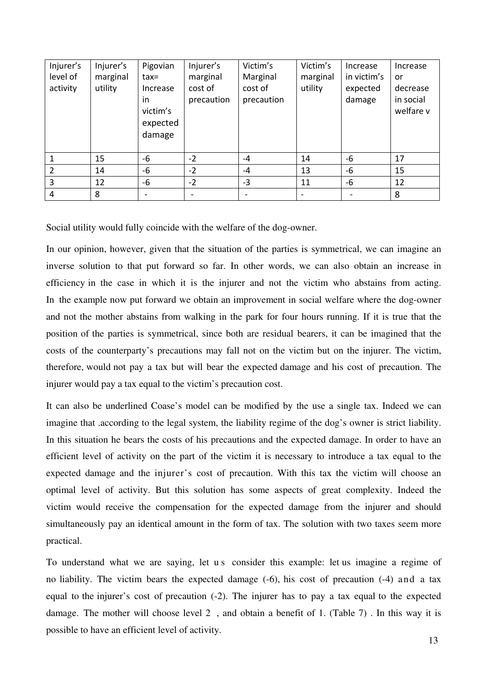| Injurer's<br>level of<br>activity | Injurer's<br>marginal<br>utility | Pigovian<br>$tax=$<br>Increase<br>in<br>victim's<br>expected<br>damage | Injurer's<br>marginal<br>cost of<br>precaution | Victim's<br>Marginal<br>cost of<br>precaution | Victim's<br>marginal<br>utility | Increase<br>in victim's<br>expected<br>damage | Increase<br>or<br>decrease<br>in social<br>welfare v |
|-----------------------------------|----------------------------------|------------------------------------------------------------------------|------------------------------------------------|-----------------------------------------------|---------------------------------|-----------------------------------------------|------------------------------------------------------|
|                                   | 15                               | -6                                                                     | $-2$                                           | $-4$                                          | 14                              | $-6$                                          | 17                                                   |
| 2                                 | 14                               | -6                                                                     | $-2$                                           | $-4$                                          | 13                              | $-6$                                          | 15                                                   |
| 3                                 | 12                               | -6                                                                     | $-2$                                           | $-3$                                          | 11                              | $-6$                                          | 12                                                   |
| 4                                 | 8                                |                                                                        |                                                |                                               |                                 |                                               | 8                                                    |

Social utility would fully coincide with the welfare of the dog-owner.

In our opinion, however, given that the situation of the parties is symmetrical, we can imagine an inverse solution to that put forward so far. In other words, we can also obtain an increase in efficiency in the case in which it is the injurer and not the victim who abstains from acting. In the example now put forward we obtain an improvement in social welfare where the dog-owner and not the mother abstains from walking in the park for four hours running. If it is true that the position of the parties is symmetrical, since both are residual bearers, it can be imagined that the costs of the counterparty's precautions may fall not on the victim but on the injurer. The victim, therefore, would not pay a tax but will bear the expected damage and his cost of precaution. The injurer would pay a tax equal to the victim's precaution cost.

It can also be underlined Coase's model can be modified by the use a single tax. Indeed we can imagine that .according to the legal system, the liability regime of the dog's owner is strict liability. In this situation he bears the costs of his precautions and the expected damage. In order to have an efficient level of activity on the part of the victim it is necessary to introduce a tax equal to the expected damage and the injurer's cost of precaution. With this tax the victim will choose an optimal level of activity. But this solution has some aspects of great complexity. Indeed the victim would receive the compensation for the expected damage from the injurer and should simultaneously pay an identical amount in the form of tax. The solution with two taxes seem more practical.

To understand what we are saying, let us consider this example: let us imagine a regime of no liability. The victim bears the expected damage (-6), his cost of precaution (-4) and a tax equal to the injurer's cost of precaution (-2). The injurer has to pay a tax equal to the expected damage. The mother will choose level 2 , and obtain a benefit of 1. (Table 7) . In this way it is possible to have an efficient level of activity.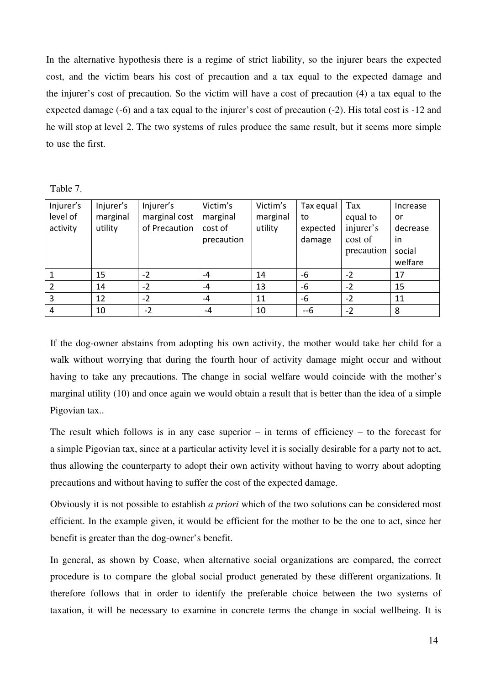In the alternative hypothesis there is a regime of strict liability, so the injurer bears the expected cost, and the victim bears his cost of precaution and a tax equal to the expected damage and the injurer's cost of precaution. So the victim will have a cost of precaution (4) a tax equal to the expected damage (-6) and a tax equal to the injurer's cost of precaution (-2). His total cost is -12 and he will stop at level 2. The two systems of rules produce the same result, but it seems more simple to use the first.

Table 7.

| Injurer's<br>level of<br>activity | Injurer's<br>marginal<br>utility | Injurer's<br>marginal cost<br>of Precaution | Victim's<br>marginal<br>cost of<br>precaution | Victim's<br>marginal<br>utility | Tax equal<br>to<br>expected<br>damage | Tax<br>equal to<br>injurer's<br>cost of<br>precaution | Increase<br>or<br>decrease<br>in<br>social<br>welfare |
|-----------------------------------|----------------------------------|---------------------------------------------|-----------------------------------------------|---------------------------------|---------------------------------------|-------------------------------------------------------|-------------------------------------------------------|
|                                   | 15                               | $-2$                                        | -4                                            | 14                              | $-6$                                  | $-2$                                                  | 17                                                    |
|                                   | 14                               | $-2$                                        | -4                                            | 13                              | $-6$                                  | $-2$                                                  | 15                                                    |
| 3                                 | 12                               | $-2$                                        | -4                                            | 11                              | $-6$                                  | $-2$                                                  | 11                                                    |
| 4                                 | 10                               | $-2$                                        | $-4$                                          | 10                              | --6                                   | $-2$                                                  | 8                                                     |

If the dog-owner abstains from adopting his own activity, the mother would take her child for a walk without worrying that during the fourth hour of activity damage might occur and without having to take any precautions. The change in social welfare would coincide with the mother's marginal utility (10) and once again we would obtain a result that is better than the idea of a simple Pigovian tax..

The result which follows is in any case superior – in terms of efficiency – to the forecast for a simple Pigovian tax, since at a particular activity level it is socially desirable for a party not to act, thus allowing the counterparty to adopt their own activity without having to worry about adopting precautions and without having to suffer the cost of the expected damage.

Obviously it is not possible to establish *a priori* which of the two solutions can be considered most efficient. In the example given, it would be efficient for the mother to be the one to act, since her benefit is greater than the dog-owner's benefit.

In general, as shown by Coase, when alternative social organizations are compared, the correct procedure is to compare the global social product generated by these different organizations. It therefore follows that in order to identify the preferable choice between the two systems of taxation, it will be necessary to examine in concrete terms the change in social wellbeing. It is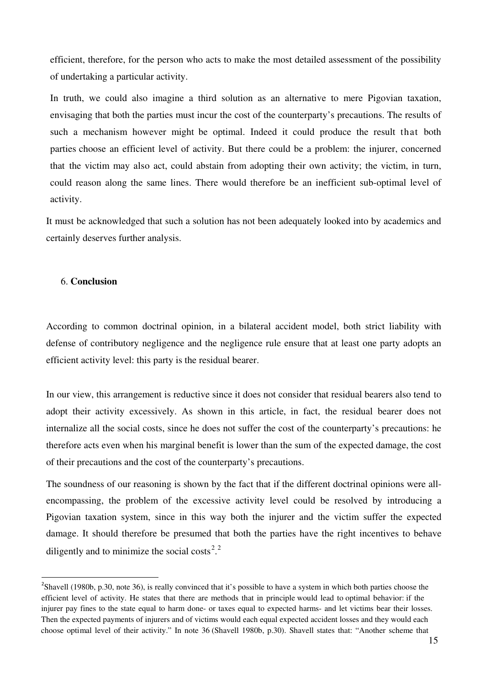efficient, therefore, for the person who acts to make the most detailed assessment of the possibility of undertaking a particular activity.

In truth, we could also imagine a third solution as an alternative to mere Pigovian taxation, envisaging that both the parties must incur the cost of the counterparty's precautions. The results of such a mechanism however might be optimal. Indeed it could produce the result that both parties choose an efficient level of activity. But there could be a problem: the injurer, concerned that the victim may also act, could abstain from adopting their own activity; the victim, in turn, could reason along the same lines. There would therefore be an inefficient sub-optimal level of activity.

It must be acknowledged that such a solution has not been adequately looked into by academics and certainly deserves further analysis.

### 6. **Conclusion**

l

According to common doctrinal opinion, in a bilateral accident model, both strict liability with defense of contributory negligence and the negligence rule ensure that at least one party adopts an efficient activity level: this party is the residual bearer.

In our view, this arrangement is reductive since it does not consider that residual bearers also tend to adopt their activity excessively. As shown in this article, in fact, the residual bearer does not internalize all the social costs, since he does not suffer the cost of the counterparty's precautions: he therefore acts even when his marginal benefit is lower than the sum of the expected damage, the cost of their precautions and the cost of the counterparty's precautions.

The soundness of our reasoning is shown by the fact that if the different doctrinal opinions were allencompassing, the problem of the excessive activity level could be resolved by introducing a Pigovian taxation system, since in this way both the injurer and the victim suffer the expected damage. It should therefore be presumed that both the parties have the right incentives to behave diligently and to minimize the social costs<sup>[2](#page-15-0),2</sup>

<span id="page-15-0"></span><sup>&</sup>lt;sup>2</sup>Shavell (1980b, p.30, note 36), is really convinced that it's possible to have a system in which both parties choose the efficient level of activity. He states that there are methods that in principle would lead to optimal behavior: if the injurer pay fines to the state equal to harm done- or taxes equal to expected harms- and let victims bear their losses. Then the expected payments of injurers and of victims would each equal expected accident losses and they would each choose optimal level of their activity." In note 36 (Shavell 1980b, p.30). Shavell states that: "Another scheme that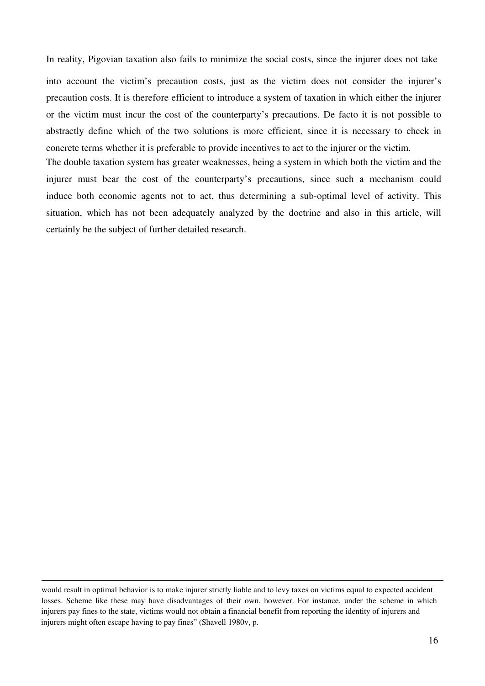In reality, Pigovian taxation also fails to minimize the social costs, since the injurer does not take

into account the victim's precaution costs, just as the victim does not consider the injurer's precaution costs. It is therefore efficient to introduce a system of taxation in which either the injurer or the victim must incur the cost of the counterparty's precautions. De facto it is not possible to abstractly define which of the two solutions is more efficient, since it is necessary to check in concrete terms whether it is preferable to provide incentives to act to the injurer or the victim.

The double taxation system has greater weaknesses, being a system in which both the victim and the injurer must bear the cost of the counterparty's precautions, since such a mechanism could induce both economic agents not to act, thus determining a sub-optimal level of activity. This situation, which has not been adequately analyzed by the doctrine and also in this article, will certainly be the subject of further detailed research.

 $\overline{a}$ 

would result in optimal behavior is to make injurer strictly liable and to levy taxes on victims equal to expected accident losses. Scheme like these may have disadvantages of their own, however. For instance, under the scheme in which injurers pay fines to the state, victims would not obtain a financial benefit from reporting the identity of injurers and injurers might often escape having to pay fines" (Shavell 1980v, p.